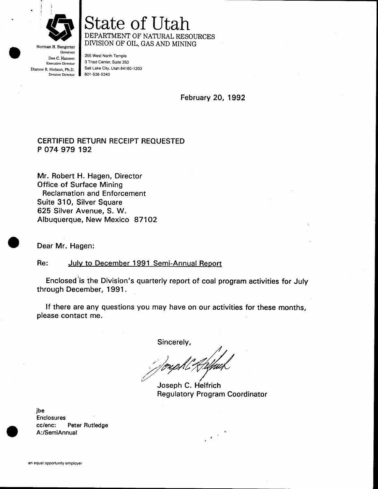

Governor Dee C, Hansen Executive Director Dianne R. Nielson, Ph.D. Division Director

## State of Utah DEPARTMENT OF NATURAL RESOURCES DIVISION OF OIL, GAS AND MINING

355 West North Temple 3 Triad Center, Suite 350 Salt Lake City, Utah 84180-1203 801 -538-5340

February 20, 1992

## CERTIFIED RETURN RECEIPT REOUESTED P O74 979 192

Mr. Robert H. Hagen, Director Office of Surface Mining Reclamation and Enforcement Suite 310, Silver Square 625 Silver Avenue, S. W. Albuquerque, New Mexico 871O2

Dear Mr. Hagen:

## Re: July to December 1991 Semi-Annual Report

Enclosed'is the Division's quarterly report of coal program activities for July through December, 1991.

lf there are any questions you may have on our activities for these months, please contact me.

Sincerely,

Joseph C. Helfrich Regulatory Program Coordinator

 $\sim$   $^{-3}$ 

jbe Enclosures cc/enc: Peter Rutledge A;/SemiAnnual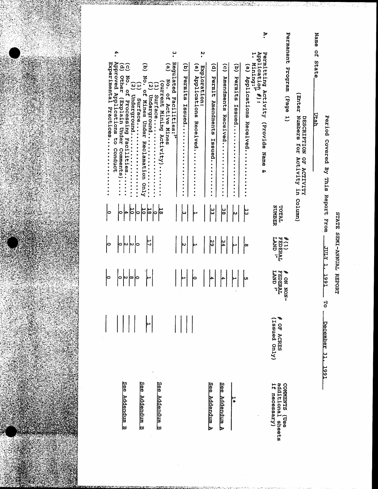

| Name | o<br>H<br>State<br>Utah                                                                                                                              |                        |                            |                                    |                          |                                                    |
|------|------------------------------------------------------------------------------------------------------------------------------------------------------|------------------------|----------------------------|------------------------------------|--------------------------|----------------------------------------------------|
|      | Enter<br>Numbers<br><b>DESCRIPTION</b><br>Įor<br>OF ACTUITTY<br>Activity in Column)                                                                  |                        |                            |                                    |                          |                                                    |
|      | Permanent<br>mezpoza<br>(bage 1)                                                                                                                     | TOTAL<br><b>NUMBER</b> | #(1)<br>FEDERAL<br>LAND !" | FEDERAL<br>LAND 2*<br>₩<br>-NON NO | Issued Only)<br>OF ACRES | additional sheets<br><b>COMMENTS</b><br>necessary) |
| ۶.   | Application<br>Permitting Activity (Provide Name<br>Mining:"<br>$\ddot{\phantom{a}}$<br>ğ,                                                           |                        |                            |                                    |                          |                                                    |
|      | $\tilde{e}$<br>Applications<br>Received                                                                                                              | ե                      | ļ∞                         | խ                                  |                          |                                                    |
|      | $\widehat{\mathbf{e}}$<br>Permits<br><b>Lasued</b>                                                                                                   | N                      |                            |                                    |                          | ÷                                                  |
|      | $\widehat{6}$<br><b>Amendments</b><br>Received                                                                                                       | မြို့                  | 34                         |                                    |                          | ဒ္ဓိရေ<br>Addendum A                               |
|      | $\widehat{e}$<br>Permit<br>Amendments<br>Issued                                                                                                      | یہ<br>سا               | ج<br>6                     |                                    |                          | See<br>Addendum A                                  |
|      | ٧.<br>نغ.<br>ب<br>Exploration:<br>Applications<br>Received.                                                                                          |                        |                            |                                    |                          |                                                    |
|      | $\widehat{\mathbf{e}}$<br>Permits<br>Issued<br>$\ddot{\cdot}$<br><br>٠<br>٠<br>$\bullet$<br>٠<br>$\ddot{\cdot}$                                      | ω                      |                            |                                    |                          |                                                    |
|      | <u>ب</u><br>•<br>Regulated<br>ë<br>No.<br>of Active Mines<br>Facilities:"                                                                            |                        |                            |                                    |                          |                                                    |
|      | current<br>Ξ<br>surface<br>Mining Activity)                                                                                                          |                        |                            |                                    |                          | See<br><u>Addendum B</u>                           |
|      | ਰੁ<br>No.<br>$\tilde{\bm{c}}$<br><u>ር</u><br>Underground<br>Mines Under Reclamation Only                                                             | ရှိချိုချိ             | Ë                          |                                    |                          | <u>See</u><br><u>Addendum B</u>                    |
|      | قع<br>۳<br>Underground<br><b>Surface</b>                                                                                                             | ᄫ<br>0                 |                            | ∣∞∣∘                               |                          |                                                    |
|      | 4.<br>Approved Applications to<br>စ်ဖွ<br>Other<br>No. of<br>(Explain Under<br>Processing Facilities<br>Conduct<br>Comments)<br>- - - - -<br>- - - - | O                      | $\sigma$  u u o            | ่∾<br>∣ం                           |                          | See Addendum B                                     |
|      | Experimental<br>Practices.                                                                                                                           | lо                     | ∣∘                         | ∣∘                                 |                          |                                                    |

## STATE SEMI-ANNUAL REPORT

December 31, 1991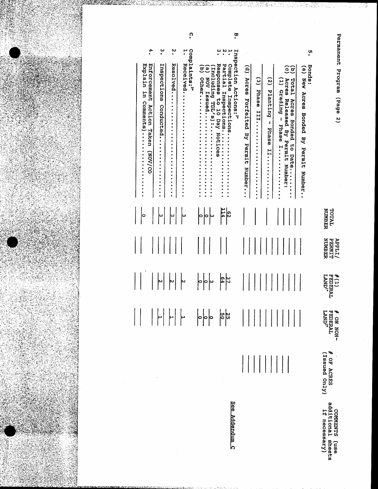

 $\ddot{\Omega}$ ë 4.  $\ddot{\cdot}$  $\ddot{\phantom{0}}$ complaints:" ۲ Inspection Actions:" ូ<br>• ۲. Enforcement Action Taken (NOV/CO Inspections Conducted........... Explain in Comments)............ Bonds:<br>(a) New Acres Bonded By Permit Number..  $\widehat{c}\widehat{\sigma}$ (d) Acres Forfeited By Permit Number... Total Acres Bonded to Date........<br>Acres Released By Permit Number: (2) Planting - Phase II......... TOTAL<br>NUMBER  $rac{62}{114}$  $\overline{\phantom{a}}$  $\sim$  $\Big|$   $\circ$ سا |س **APPLI/<br>PERMIT<br>PERMIT**  $\sim$  $rac{37}{64}$  $\bigg|\circ\bigg|\circ\bigg| \cup$  $\begin{array}{c|c} \n\hline\n\end{array}$  $\begin{array}{c|c} \hline \circ & \circ \\ \hline \end{array}$  $\frac{25}{9}$ # OF ACRES<br>(Issued Only)

See Addendum C

COMMENTS (use<br>additional sheets<br>if necessary)

 $\begin{array}{l} \#(1) \\ \texttt{FEDERAL} \\ \texttt{LAND!} \end{array}$ 

# ON NON-<br>FEDERAL<br>LAND<sup>2</sup>

Permanent Program (Page 2)